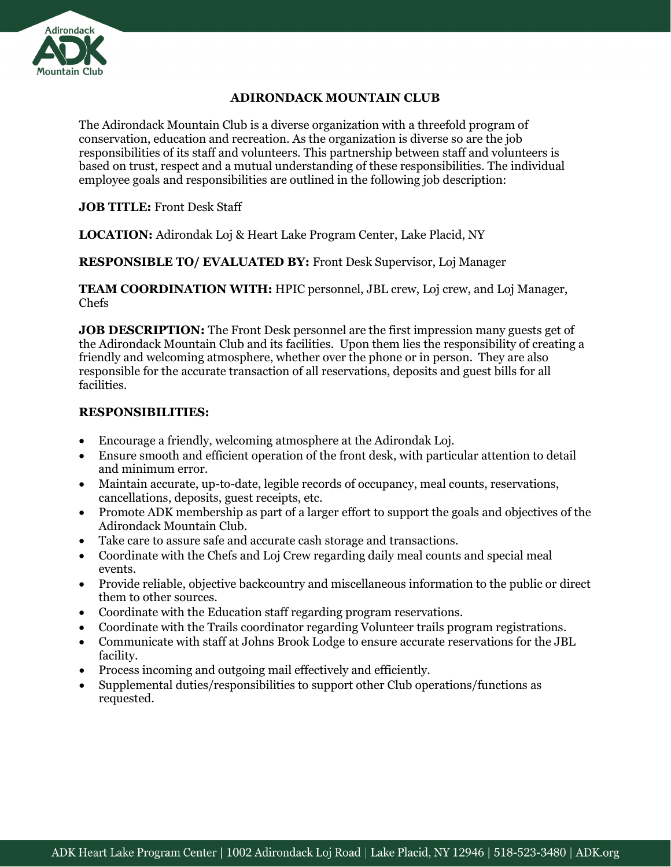

## **ADIRONDACK MOUNTAIN CLUB**

The Adirondack Mountain Club is a diverse organization with a threefold program of conservation, education and recreation. As the organization is diverse so are the job responsibilities of its staff and volunteers. This partnership between staff and volunteers is based on trust, respect and a mutual understanding of these responsibilities. The individual employee goals and responsibilities are outlined in the following job description:

**JOB TITLE:** Front Desk Staff

**LOCATION:** Adirondak Loj & Heart Lake Program Center, Lake Placid, NY

**RESPONSIBLE TO/ EVALUATED BY:** Front Desk Supervisor, Loj Manager

**TEAM COORDINATION WITH:** HPIC personnel, JBL crew, Loj crew, and Loj Manager, Chefs

**JOB DESCRIPTION:** The Front Desk personnel are the first impression many guests get of the Adirondack Mountain Club and its facilities. Upon them lies the responsibility of creating a friendly and welcoming atmosphere, whether over the phone or in person. They are also responsible for the accurate transaction of all reservations, deposits and guest bills for all facilities.

## **RESPONSIBILITIES:**

- Encourage a friendly, welcoming atmosphere at the Adirondak Loj.
- Ensure smooth and efficient operation of the front desk, with particular attention to detail and minimum error.
- Maintain accurate, up-to-date, legible records of occupancy, meal counts, reservations, cancellations, deposits, guest receipts, etc.
- Promote ADK membership as part of a larger effort to support the goals and objectives of the Adirondack Mountain Club.
- Take care to assure safe and accurate cash storage and transactions.
- Coordinate with the Chefs and Loj Crew regarding daily meal counts and special meal events.
- Provide reliable, objective backcountry and miscellaneous information to the public or direct them to other sources.
- Coordinate with the Education staff regarding program reservations.
- Coordinate with the Trails coordinator regarding Volunteer trails program registrations.
- Communicate with staff at Johns Brook Lodge to ensure accurate reservations for the JBL facility.
- Process incoming and outgoing mail effectively and efficiently.
- Supplemental duties/responsibilities to support other Club operations/functions as requested.